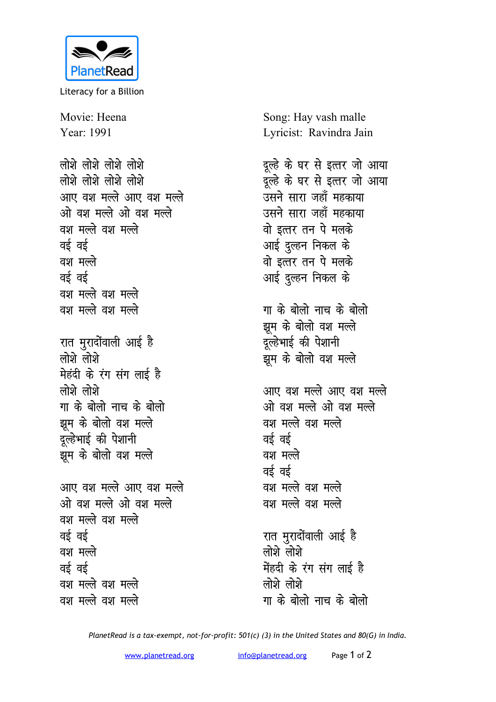

Literacy for a Billion

Movie: Heena Year: 1991

लोशे लोशे लोशे लोशे लोशे लोशे लोशे लोशे आए वश मल्ले आए वश मल्ले ओ वश मल्ले ओ वश मल्ले वश मल्ले वश मल्ले वई वई  $729T$  मल्ले वई वई वश मल्ले वश मल्ले वश मल्ले वश मल्ले रात मुरादोंवाली आई है लोशे लोशे मेहंदी के रंग संग लाई है लोशे लोशे गा के बोलो नाच के बोलो झुम के बोलो वश मल्ले दूल्हेभाई की पेशानी झूम के बोलो वश मल्ले आए वश मल्ले आए वश मल्ले ओ वश मल्ले ओ वश मल्ले वश मल्ले वश मल्ले वई वई वश मल्ले वई वई वश मल्ले वश मल्ले वश मल्ले वश मल्ले

Song: Hay vash malle Lyricist: Ravindra Jain

दूल्हे के घर से इत्तर जो आया दुल्हे के घर से इत्तर जो आया उसने सारा जहाँ महकाया उसने सारा जहाँ महकाया वो इत्तर तन पे मलके आई दुल्हन निकल के वो इत्तर तन पे मलके आई दुल्हन निकल के गा के बोलो नाच के बोलो झूम के बोलो वश मल्ले दूल्हेभाई की पेशानी झूम के बोलो वश मल्ले आए वश मल्ले आए वश मल्ले ओ वश मल्ले ओ वश मल्ले वश मल्ले वश मल्ले वई वई वश मल्ले वई वई वश मल्ले वश मल्ले वश मल्ले वश मल्ले रात मुरादोंवाली आई है लोशे लोशे मेंहदी के रंग संग लाई है लोशे लोशे गा के बोलो नाच के बोलो

PlanetRead is a tax-exempt, not-for-profit: 501(c) (3) in the United States and 80(G) in India.